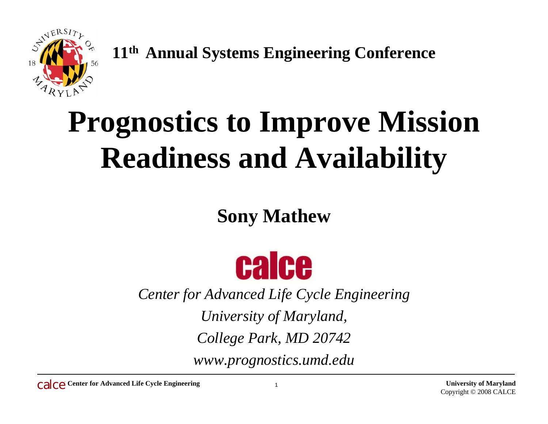

**11th Annual Systems Engineering Conference**

# **Prognostics to Improve Mission Readiness and Availability**

#### **Sony Mathew**



*Center for Advanced Life Cycle Engineering University of Maryland,* 

*College Park, MD 20742*

*www.prognostics.umd.edu*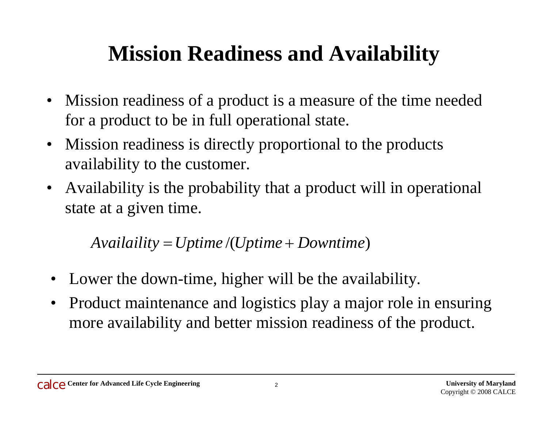#### **Mission Readiness and Availability**

- Mission readiness of a product is a measure of the time needed for a product to be in full operational state.
- Mission readiness is directly proportional to the products availability to the customer.
- Availability is the probability that a product will in operational state at a given time.

 $A\text{validility} = U\text{ptime}/(U\text{ptime} + D\text{ovntime})$ 

- •Lower the down-time, higher will be the availability.
- $\bullet$  Product maintenance and logistics play a major role in ensuring more availability and better mission readiness of the product.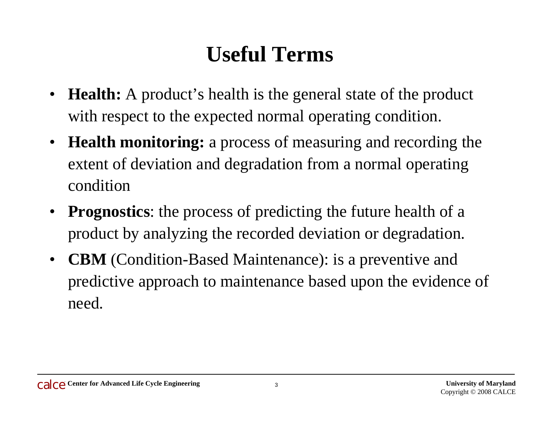#### **Useful Terms**

- $\bullet$  **Health:** A product's health is the general state of the product with respect to the expected normal operating condition.
- • **Health monitoring:** a process of measuring and recording the extent of deviation and degradation from a normal operating condition
- **Prognostics**: the process of predicting the future health of a product by analyzing the recorded deviation or degradation.
- $\bullet$  **CBM** (Condition-Based Maintenance): is a preventive and predictive approach to maintenance based upon the evidence of need.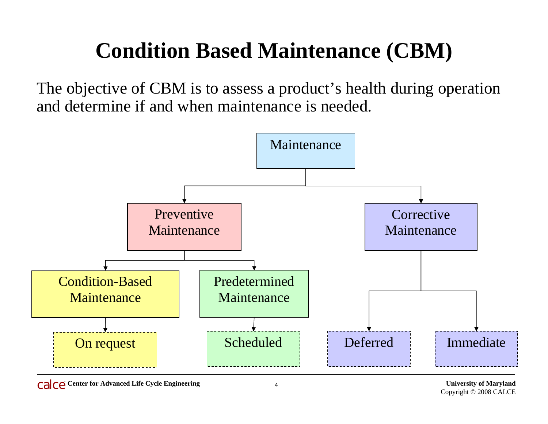#### **Condition Based Maintenance (CBM)**

The objective of CBM is to assess a product's health during operation and determine if and when maintenance is needed.

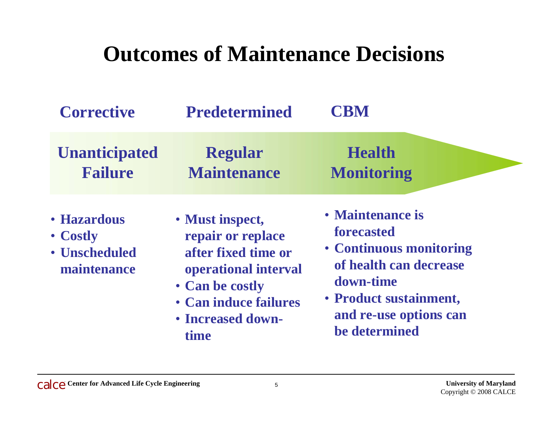#### **Outcomes of Maintenance Decisions**

| <b>Corrective</b>                                       | <b>Predetermined</b>                                                                                                                                         | <b>CBM</b>                                                                                                                                                            |
|---------------------------------------------------------|--------------------------------------------------------------------------------------------------------------------------------------------------------------|-----------------------------------------------------------------------------------------------------------------------------------------------------------------------|
| <b>Unanticipated</b><br><b>Failure</b>                  | <b>Regular</b><br><b>Maintenance</b>                                                                                                                         | <b>Health</b><br><b>Monitoring</b>                                                                                                                                    |
| • Hazardous<br>• Costly<br>• Unscheduled<br>maintenance | • Must inspect,<br>repair or replace<br>after fixed time or<br>operational interval<br>• Can be costly<br>• Can induce failures<br>• Increased down-<br>time | • Maintenance is<br>forecasted<br>• Continuous monitoring<br>of health can decrease<br>down-time<br>• Product sustainment,<br>and re-use options can<br>be determined |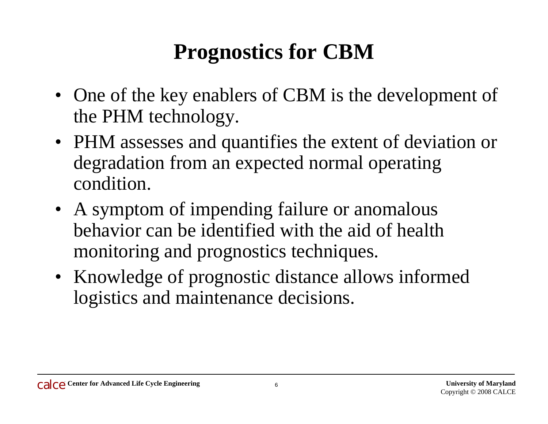#### **Prognostics for CBM**

- One of the key enablers of CBM is the development of the PHM technology.
- PHM assesses and quantifies the extent of deviation or degradation from an expected normal operating condition.
- A symptom of impending failure or anomalous behavior can be identified with the aid of health monitoring and prognostics techniques.
- Knowledge of prognostic distance allows informed logistics and maintenance decisions.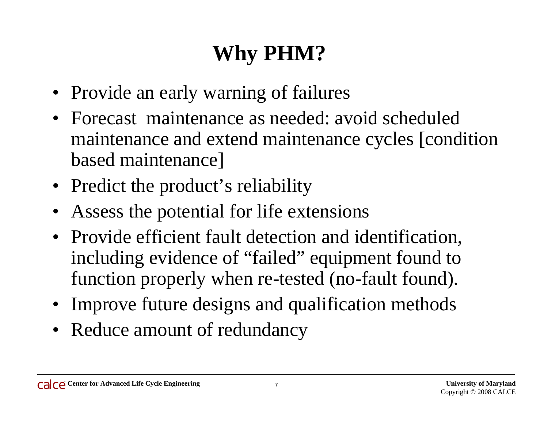## **Why PHM?**

- Provide an early warning of failures
- Forecast maintenance as needed: avoid scheduled maintenance and extend maintenance cycles [condition based maintenance]
- Predict the product's reliability
- Assess the potential for life extensions
- Provide efficient fault detection and identification, including evidence of "failed" equipment found to function properly when re-tested (no-fault found).
- Improve future designs and qualification methods
- Reduce amount of redundancy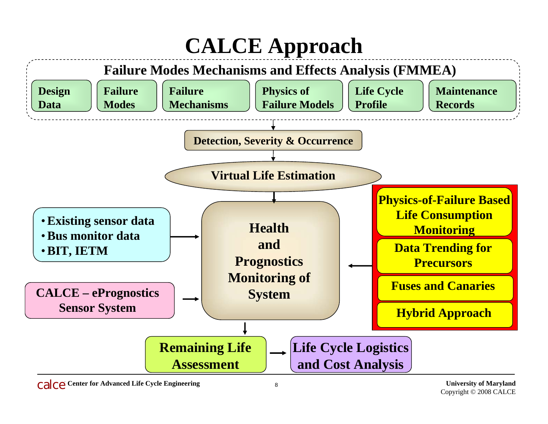# **CALCE Approach**

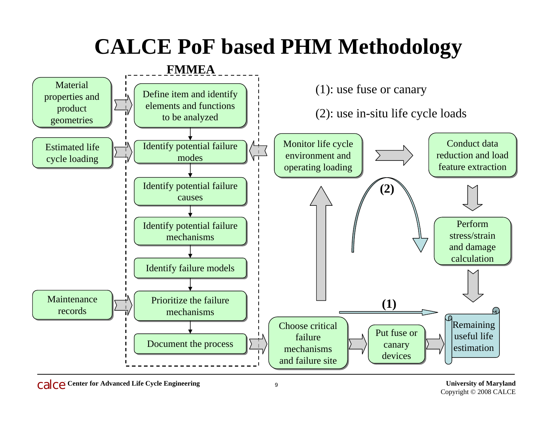#### **CALCE PoF based PHM Methodology**

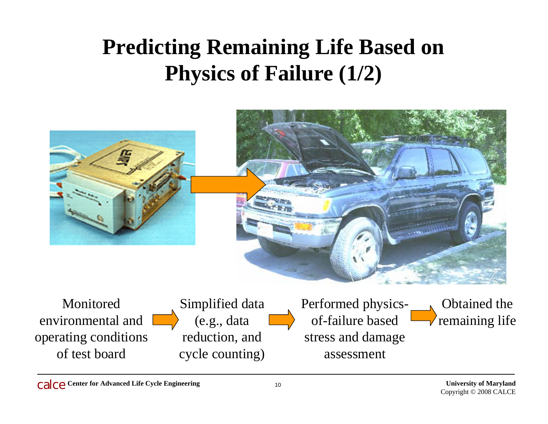## **Predicting Remaining Life Based on Physics of Failure (1/2)**



Monitored environmental and operating conditions of test board

Simplified data (e.g., data reduction, and cycle counting) Performed physicsof-failure based stress and damage assessment

Obtained the remaining life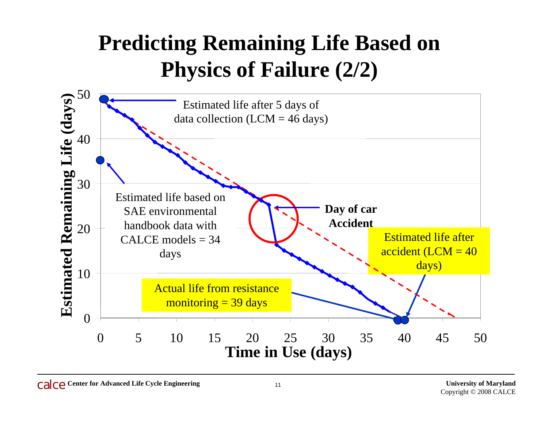#### **Predicting Remaining Life Based on Physics of Failure (2/2)**

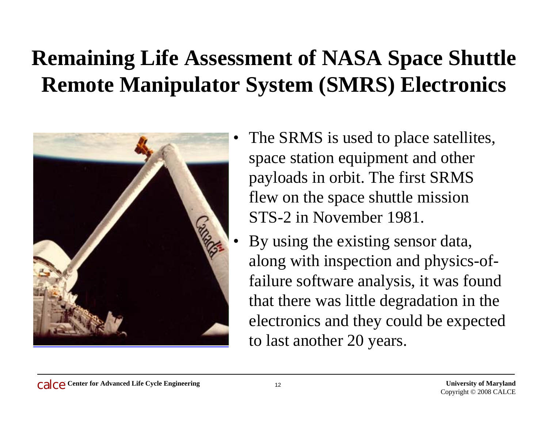## **Remaining Life Assessment of NASA Space Shuttle Remote Manipulator System (SMRS) Electronics**



- The SRMS is used to place satellites, space station equipment and other payloads in orbit. The first SRMS flew on the space shuttle mission STS-2 in November 1981.
- • By using the existing sensor data, along with inspection and physics-offailure software analysis, it was found that there was little degradation in the electronics and they could be expected to last another 20 years.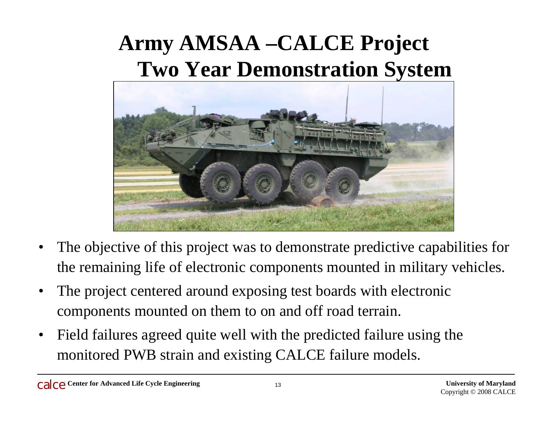### **Army AMSAA –CALCE Project Two Year Demonstration System**



- • The objective of this project was to demonstrate predictive capabilities for the remaining life of electronic components mounted in military vehicles.
- • The project centered around exposing test boards with electronic components mounted on them to on and off road terrain.
- • Field failures agreed quite well with the predicted failure using the monitored PWB strain and existing CALCE failure models.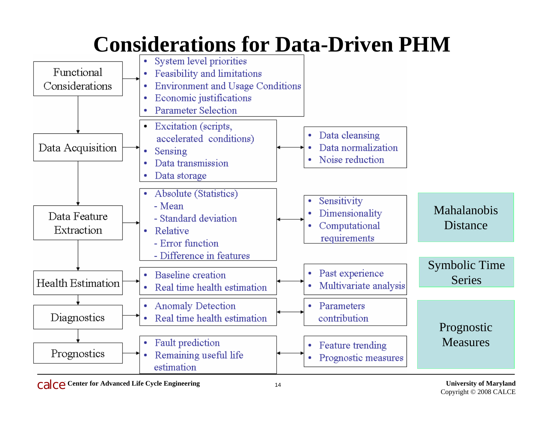#### **Considerations for Data-Driven PHM**

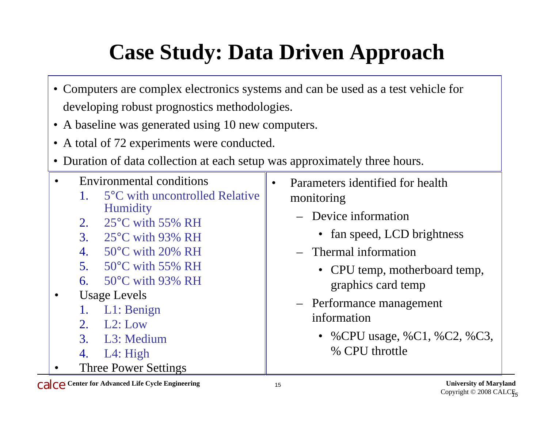# **Case Study: Data Driven Approach**

- Computers are complex electronics systems and can be used as a test vehicle for developing robust prognostics methodologies.
- A baseline was generated using 10 new computers.
- A total of 72 experiments were conducted.
- Duration of data collection at each setup was approximately three hours.

| <b>Environmental conditions</b>                                                                                                                                                                                                                                                                                                                              | Parameters identified for health                                                                                                                                                                                                 |
|--------------------------------------------------------------------------------------------------------------------------------------------------------------------------------------------------------------------------------------------------------------------------------------------------------------------------------------------------------------|----------------------------------------------------------------------------------------------------------------------------------------------------------------------------------------------------------------------------------|
| 5°C with uncontrolled Relative                                                                                                                                                                                                                                                                                                                               | monitoring                                                                                                                                                                                                                       |
| <b>Humidity</b><br>$25^{\circ}$ C with 55% RH<br>2.<br>$25^{\circ}$ C with 93% RH<br>3.<br>$50^{\circ}$ C with 20% RH<br>4.<br>$50^{\circ}$ C with 55% RH<br>5 <sub>1</sub><br>6. $50^{\circ}$ C with 93% RH<br><b>Usage Levels</b><br>L1: Benign<br>1.<br>L2: Low<br>$2_{1}$<br>3. L <sub>3</sub> : Medium<br>L4: High<br>4.<br><b>Three Power Settings</b> | - Device information<br>• fan speed, LCD brightness<br>- Thermal information<br>• CPU temp, motherboard temp,<br>graphics card temp<br>- Performance management<br>information<br>• %CPU usage, %C1, %C2, %C3,<br>% CPU throttle |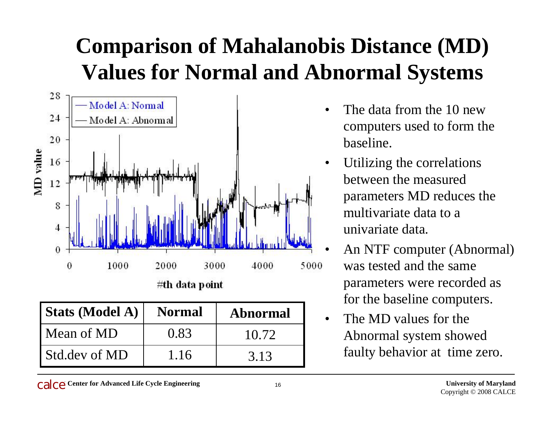## **Comparison of Mahalanobis Distance (MD) Values for Normal and Abnormal Systems**



| Stats (Model A) | <b>Normal</b> | <b>Abnormal</b> |
|-----------------|---------------|-----------------|
| Mean of MD      | 0.83          | 10.72           |
| Std.dev of MD   | 1.16          | 3.13            |

- • The data from the 10 new computers used to form the baseline.
- • Utilizing the correlations between the measured parameters MD reduces the multivariate data to a univariate data.
- • An NTF computer (Abnormal) was tested and the same parameters were recorded as for the baseline computers.
- $\bullet$  The MD values for the Abnormal system showed faulty behavior at time zero.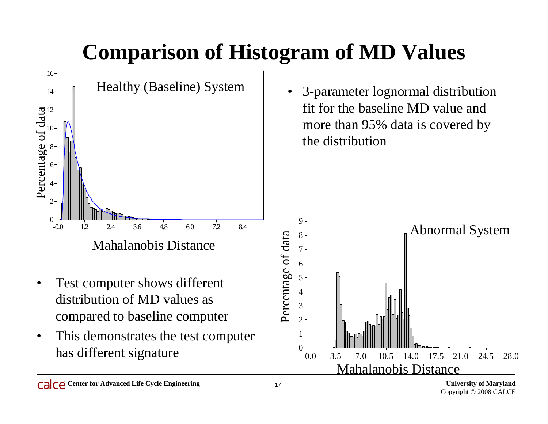## **Comparison of Histogram of MD Values**



- Mahalanobis Distance<br>• Test computer shows different<br>distribution of MD values as<br>compared to baseline computer
- • This demonstrates the test computer has different signature

• 3-parameter lognormal distribution fit for the baseline MD value and more than 95% data is covered by the distribution

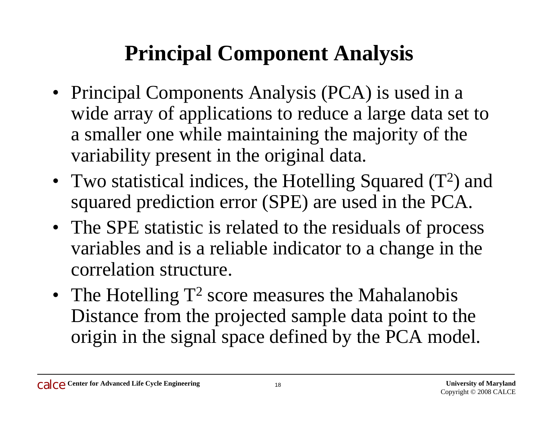#### **Principal Component Analysis**

- Principal Components Analysis (PCA) is used in a wide array of applications to reduce a large data set to a smaller one while maintaining the majority of the variability present in the original data.
- Two statistical indices, the Hotelling Squared  $(T^2)$  and squared prediction error (SPE) are used in the PCA.
- The SPE statistic is related to the residuals of process variables and is a reliable indicator to a change in the correlation structure.
- The Hotelling  $T^2$  score measures the Mahalanobis Distance from the projected sample data point to the origin in the signal space defined by the PCA model.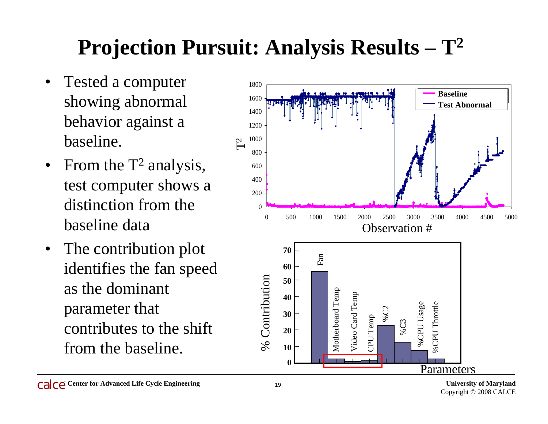## **Projection Pursuit: Analysis Results – <sup>T</sup><sup>2</sup>**

- • Tested a computer showing abnormal behavior against a baseline.
- From the  $T^2$  analysis, test computer shows a distinction from the baseline data
- • The contribution plot identifies the fan speed as the dominant parameter that contributes to the shift from the baseline.

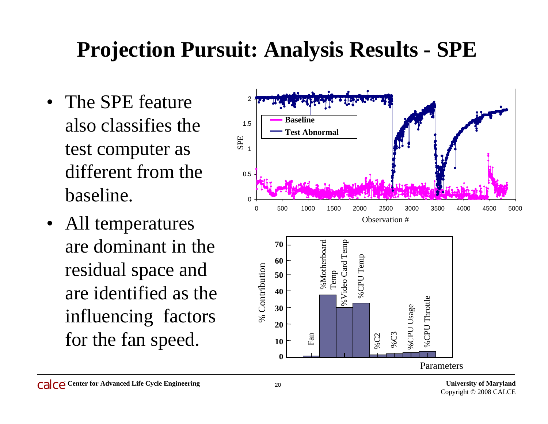## **Projection Pursuit: Analysis Results - SPE**

- The SPE feature also classifies the test computer as different from the baseline.
- All temperatures are dominant in the residual space and are identified as the influencing factors for the fan speed.

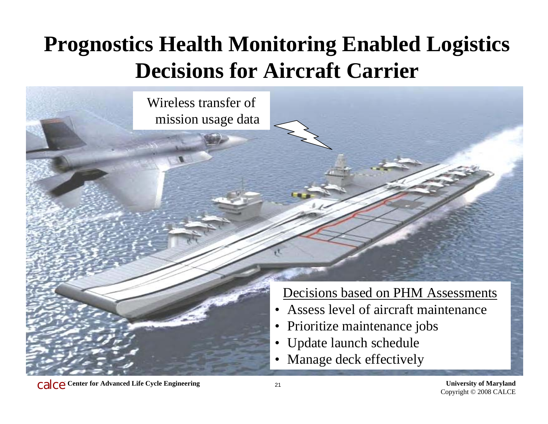## **Prognostics Health Monitoring Enabled Logistics Decisions for Aircraft Carrier**

Wireless transfer of mission usage data



- •Assess level of aircraft maintenance
- •Prioritize maintenance jobs
- Update launch schedule
- •Manage deck effectively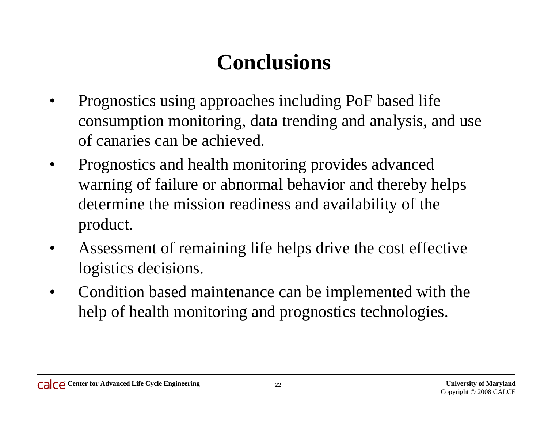#### **Conclusions**

- • Prognostics using approaches including PoF based life consumption monitoring, data trending and analysis, and use of canaries can be achieved.
- • Prognostics and health monitoring provides advanced warning of failure or abnormal behavior and thereby helps determine the mission readiness and availability of the product.
- • Assessment of remaining life helps drive the cost effective logistics decisions.
- • Condition based maintenance can be implemented with the help of health monitoring and prognostics technologies.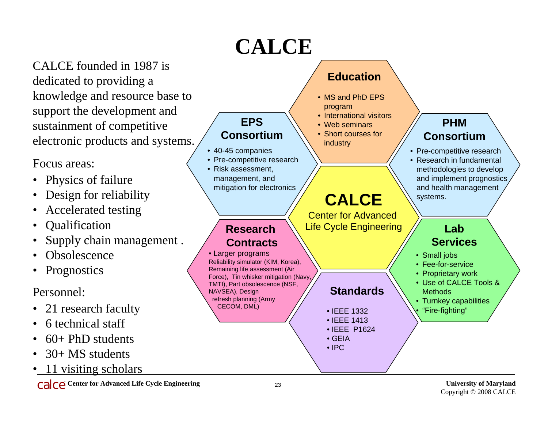## **CALCE**

CALCE founded in 1987 is dedicated to providing a knowledge and resource base to support the development and sustainment of competitive electronic products and systems.

Focus areas:

- •Physics of failure
- •Design for reliability
- Accelerated testing
- •**Qualification**
- •Supply chain management .
- •**Obsolescence**
- •Prognostics

Personnel:

- 21 research faculty
- 6 technical staff
- 60+ PhD students
- •30+ MS students
- •11 visiting scholars

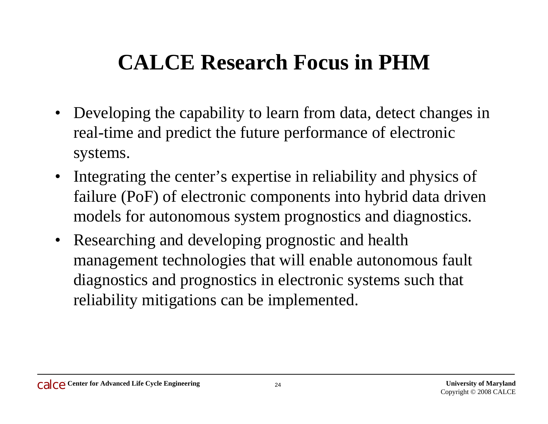## **CALCE Research Focus in PHM**

- Developing the capability to learn from data, detect changes in real-time and predict the future performance of electronic systems.
- Integrating the center's expertise in reliability and physics of failure (PoF) of electronic components into hybrid data driven models for autonomous system prognostics and diagnostics.
- $\bullet$  Researching and developing prognostic and health management technologies that will enable autonomous fault diagnostics and prognostics in electronic systems such that reliability mitigations can be implemented.